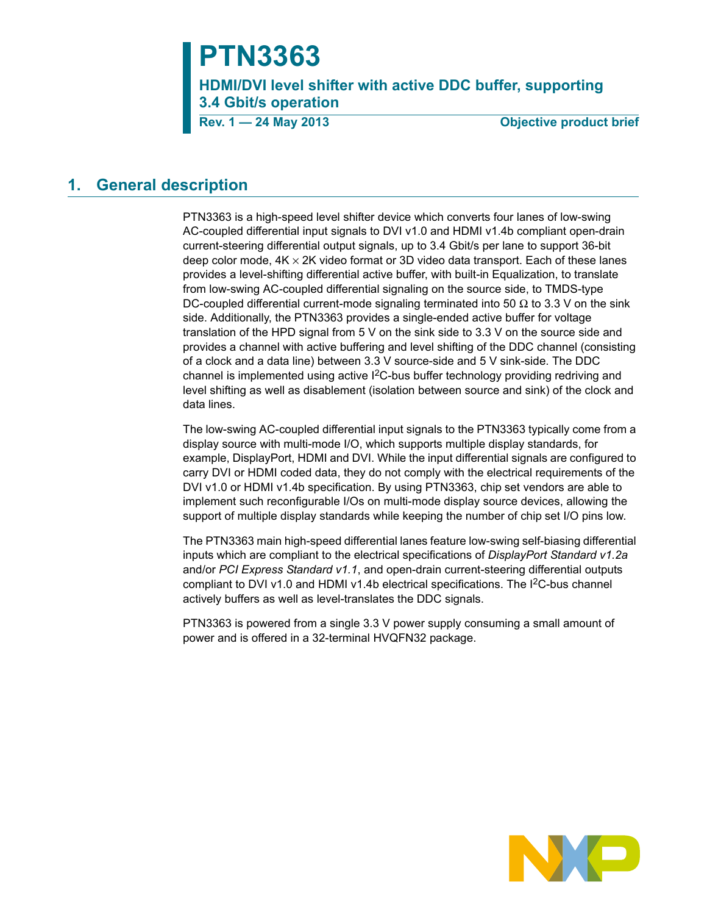# **PTN3363**

**HDMI/DVI level shifter with active DDC buffer, supporting 3.4 Gbit/s operation**

**Rev. 1 — 24 May 2013 Objective product brief**

# **1. General description**

PTN3363 is a high-speed level shifter device which converts four lanes of low-swing AC-coupled differential input signals to DVI v1.0 and HDMI v1.4b compliant open-drain current-steering differential output signals, up to 3.4 Gbit/s per lane to support 36-bit deep color mode,  $4K \times 2K$  video format or 3D video data transport. Each of these lanes provides a level-shifting differential active buffer, with built-in Equalization, to translate from low-swing AC-coupled differential signaling on the source side, to TMDS-type DC-coupled differential current-mode signaling terminated into 50  $\Omega$  to 3.3 V on the sink side. Additionally, the PTN3363 provides a single-ended active buffer for voltage translation of the HPD signal from 5 V on the sink side to 3.3 V on the source side and provides a channel with active buffering and level shifting of the DDC channel (consisting of a clock and a data line) between 3.3 V source-side and 5 V sink-side. The DDC channel is implemented using active  $1<sup>2</sup>C$ -bus buffer technology providing redriving and level shifting as well as disablement (isolation between source and sink) of the clock and data lines.

The low-swing AC-coupled differential input signals to the PTN3363 typically come from a display source with multi-mode I/O, which supports multiple display standards, for example, DisplayPort, HDMI and DVI. While the input differential signals are configured to carry DVI or HDMI coded data, they do not comply with the electrical requirements of the DVI v1.0 or HDMI v1.4b specification. By using PTN3363, chip set vendors are able to implement such reconfigurable I/Os on multi-mode display source devices, allowing the support of multiple display standards while keeping the number of chip set I/O pins low.

The PTN3363 main high-speed differential lanes feature low-swing self-biasing differential inputs which are compliant to the electrical specifications of *DisplayPort Standard v1.2a* and/or *PCI Express Standard v1.1*, and open-drain current-steering differential outputs compliant to DVI v1.0 and HDMI v1.4b electrical specifications. The I<sup>2</sup>C-bus channel actively buffers as well as level-translates the DDC signals.

PTN3363 is powered from a single 3.3 V power supply consuming a small amount of power and is offered in a 32-terminal HVQFN32 package.